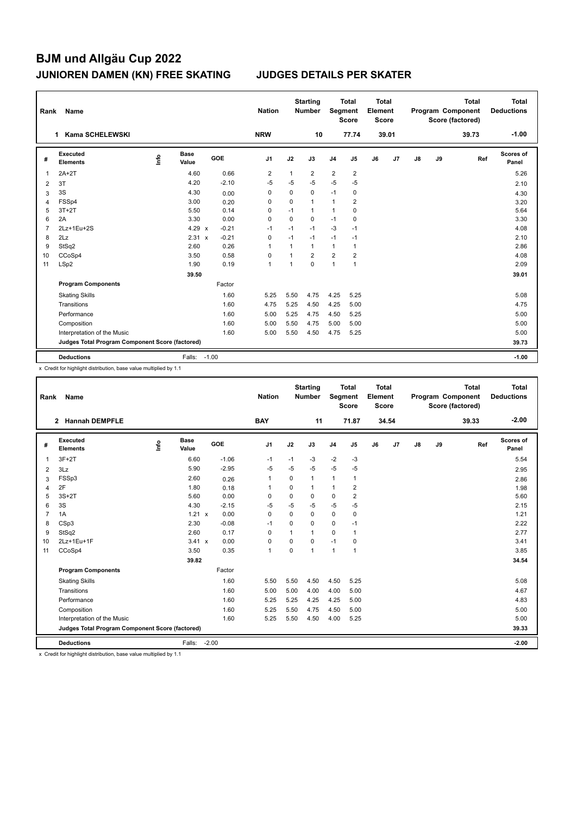| Rank | Name                                            |    |                      |         | <b>Nation</b>  |                | <b>Starting</b><br>Number | Segment        | <b>Total</b><br><b>Score</b> | <b>Total</b><br>Element<br><b>Score</b> |                |    |    | <b>Total</b><br>Program Component<br>Score (factored) | <b>Total</b><br><b>Deductions</b> |
|------|-------------------------------------------------|----|----------------------|---------|----------------|----------------|---------------------------|----------------|------------------------------|-----------------------------------------|----------------|----|----|-------------------------------------------------------|-----------------------------------|
|      | <b>Kama SCHELEWSKI</b><br>1                     |    |                      |         | <b>NRW</b>     |                | 10                        |                | 77.74                        |                                         | 39.01          |    |    | 39.73                                                 | $-1.00$                           |
| #    | <b>Executed</b><br><b>Elements</b>              | ۴٥ | <b>Base</b><br>Value | GOE     | J <sub>1</sub> | J2             | J3                        | J <sub>4</sub> | J5                           | J6                                      | J <sub>7</sub> | J8 | J9 | Ref                                                   | <b>Scores of</b><br>Panel         |
| 1    | $2A+2T$                                         |    | 4.60                 | 0.66    | 2              | 1              | $\overline{2}$            | $\overline{2}$ | $\overline{2}$               |                                         |                |    |    |                                                       | 5.26                              |
| 2    | 3T                                              |    | 4.20                 | $-2.10$ | $-5$           | $-5$           | $-5$                      | $-5$           | $-5$                         |                                         |                |    |    |                                                       | 2.10                              |
| 3    | 3S                                              |    | 4.30                 | 0.00    | 0              | 0              | 0                         | $-1$           | 0                            |                                         |                |    |    |                                                       | 4.30                              |
| 4    | FSSp4                                           |    | 3.00                 | 0.20    | 0              | $\mathbf 0$    | $\mathbf{1}$              | $\mathbf{1}$   | 2                            |                                         |                |    |    |                                                       | 3.20                              |
| 5    | $3T+2T$                                         |    | 5.50                 | 0.14    | 0              | $-1$           | 1                         | $\mathbf{1}$   | 0                            |                                         |                |    |    |                                                       | 5.64                              |
| 6    | 2A                                              |    | 3.30                 | 0.00    | 0              | 0              | 0                         | $-1$           | 0                            |                                         |                |    |    |                                                       | 3.30                              |
| 7    | 2Lz+1Eu+2S                                      |    | 4.29 $\times$        | $-0.21$ | $-1$           | $-1$           | $-1$                      | $-3$           | $-1$                         |                                         |                |    |    |                                                       | 4.08                              |
| 8    | 2Lz                                             |    | 2.31 x               | $-0.21$ | 0              | $-1$           | $-1$                      | $-1$           | $-1$                         |                                         |                |    |    |                                                       | 2.10                              |
| 9    | StSq2                                           |    | 2.60                 | 0.26    | $\overline{1}$ | 1              | $\mathbf{1}$              | $\mathbf{1}$   | 1                            |                                         |                |    |    |                                                       | 2.86                              |
| 10   | CCoSp4                                          |    | 3.50                 | 0.58    | 0              | $\overline{1}$ | $\overline{2}$            | $\overline{2}$ | $\overline{2}$               |                                         |                |    |    |                                                       | 4.08                              |
| 11   | LSp2                                            |    | 1.90                 | 0.19    | $\overline{1}$ |                | $\mathbf 0$               | $\mathbf{1}$   | $\mathbf{1}$                 |                                         |                |    |    |                                                       | 2.09                              |
|      |                                                 |    | 39.50                |         |                |                |                           |                |                              |                                         |                |    |    |                                                       | 39.01                             |
|      | <b>Program Components</b>                       |    |                      | Factor  |                |                |                           |                |                              |                                         |                |    |    |                                                       |                                   |
|      | <b>Skating Skills</b>                           |    |                      | 1.60    | 5.25           | 5.50           | 4.75                      | 4.25           | 5.25                         |                                         |                |    |    |                                                       | 5.08                              |
|      | Transitions                                     |    |                      | 1.60    | 4.75           | 5.25           | 4.50                      | 4.25           | 5.00                         |                                         |                |    |    |                                                       | 4.75                              |
|      | Performance                                     |    |                      | 1.60    | 5.00           | 5.25           | 4.75                      | 4.50           | 5.25                         |                                         |                |    |    |                                                       | 5.00                              |
|      | Composition                                     |    |                      | 1.60    | 5.00           | 5.50           | 4.75                      | 5.00           | 5.00                         |                                         |                |    |    |                                                       | 5.00                              |
|      | Interpretation of the Music                     |    |                      | 1.60    | 5.00           | 5.50           | 4.50                      | 4.75           | 5.25                         |                                         |                |    |    |                                                       | 5.00                              |
|      | Judges Total Program Component Score (factored) |    |                      |         |                |                |                           |                |                              |                                         |                |    |    |                                                       | 39.73                             |
|      | <b>Deductions</b>                               |    | Falls:               | $-1.00$ |                |                |                           |                |                              |                                         |                |    |    |                                                       | $-1.00$                           |

x Credit for highlight distribution, base value multiplied by 1.1

| Rank           | Name                                            |   |                      |         | <b>Nation</b>  |             | <b>Starting</b><br><b>Number</b> | Segment        | <b>Total</b><br><b>Score</b> | <b>Total</b><br>Element<br><b>Score</b> |       |               |    | <b>Total</b><br>Program Component<br>Score (factored) | <b>Total</b><br><b>Deductions</b> |
|----------------|-------------------------------------------------|---|----------------------|---------|----------------|-------------|----------------------------------|----------------|------------------------------|-----------------------------------------|-------|---------------|----|-------------------------------------------------------|-----------------------------------|
|                | 2 Hannah DEMPFLE                                |   |                      |         | <b>BAY</b>     |             | 11                               |                | 71.87                        |                                         | 34.54 |               |    | 39.33                                                 | $-2.00$                           |
| #              | Executed<br><b>Elements</b>                     | ۴ | <b>Base</b><br>Value | GOE     | J <sub>1</sub> | J2          | J3                               | J <sub>4</sub> | J5                           | J6                                      | J7    | $\mathsf{J}8$ | J9 | Ref                                                   | Scores of<br>Panel                |
| 1              | $3F+2T$                                         |   | 6.60                 | $-1.06$ | $-1$           | $-1$        | $-3$                             | $-2$           | $-3$                         |                                         |       |               |    |                                                       | 5.54                              |
| 2              | 3Lz                                             |   | 5.90                 | $-2.95$ | $-5$           | $-5$        | $-5$                             | $-5$           | $-5$                         |                                         |       |               |    |                                                       | 2.95                              |
| 3              | FSSp3                                           |   | 2.60                 | 0.26    | 1              | $\Omega$    | 1                                | $\mathbf{1}$   | 1                            |                                         |       |               |    |                                                       | 2.86                              |
| $\overline{4}$ | 2F                                              |   | 1.80                 | 0.18    | 1              | $\mathbf 0$ | 1                                | $\mathbf{1}$   | $\overline{2}$               |                                         |       |               |    |                                                       | 1.98                              |
| 5              | $3S+2T$                                         |   | 5.60                 | 0.00    | $\mathbf 0$    | $\mathbf 0$ | 0                                | $\mathbf 0$    | $\overline{2}$               |                                         |       |               |    |                                                       | 5.60                              |
| 6              | 3S                                              |   | 4.30                 | $-2.15$ | $-5$           | $-5$        | $-5$                             | $-5$           | $-5$                         |                                         |       |               |    |                                                       | 2.15                              |
| $\overline{7}$ | 1A                                              |   | 1.21 x               | 0.00    | $\Omega$       | $\Omega$    | $\Omega$                         | 0              | 0                            |                                         |       |               |    |                                                       | 1.21                              |
| 8              | CSp3                                            |   | 2.30                 | $-0.08$ | $-1$           | $\Omega$    | $\Omega$                         | 0              | $-1$                         |                                         |       |               |    |                                                       | 2.22                              |
| 9              | StSq2                                           |   | 2.60                 | 0.17    | $\Omega$       | 1           | 1                                | $\mathbf 0$    | 1                            |                                         |       |               |    |                                                       | 2.77                              |
| 10             | 2Lz+1Eu+1F                                      |   | 3.41 x               | 0.00    | 0              | $\Omega$    | $\Omega$                         | $-1$           | 0                            |                                         |       |               |    |                                                       | 3.41                              |
| 11             | CCoSp4                                          |   | 3.50                 | 0.35    | $\mathbf{1}$   | $\Omega$    | 1                                | $\mathbf{1}$   | $\overline{1}$               |                                         |       |               |    |                                                       | 3.85                              |
|                |                                                 |   | 39.82                |         |                |             |                                  |                |                              |                                         |       |               |    |                                                       | 34.54                             |
|                | <b>Program Components</b>                       |   |                      | Factor  |                |             |                                  |                |                              |                                         |       |               |    |                                                       |                                   |
|                | <b>Skating Skills</b>                           |   |                      | 1.60    | 5.50           | 5.50        | 4.50                             | 4.50           | 5.25                         |                                         |       |               |    |                                                       | 5.08                              |
|                | Transitions                                     |   |                      | 1.60    | 5.00           | 5.00        | 4.00                             | 4.00           | 5.00                         |                                         |       |               |    |                                                       | 4.67                              |
|                | Performance                                     |   |                      | 1.60    | 5.25           | 5.25        | 4.25                             | 4.25           | 5.00                         |                                         |       |               |    |                                                       | 4.83                              |
|                | Composition                                     |   |                      | 1.60    | 5.25           | 5.50        | 4.75                             | 4.50           | 5.00                         |                                         |       |               |    |                                                       | 5.00                              |
|                | Interpretation of the Music                     |   |                      | 1.60    | 5.25           | 5.50        | 4.50                             | 4.00           | 5.25                         |                                         |       |               |    |                                                       | 5.00                              |
|                | Judges Total Program Component Score (factored) |   |                      |         |                |             |                                  |                |                              |                                         |       |               |    |                                                       | 39.33                             |
|                | <b>Deductions</b>                               |   | Falls:               | $-2.00$ |                |             |                                  |                |                              |                                         |       |               |    |                                                       | $-2.00$                           |

x Credit for highlight distribution, base value multiplied by 1.1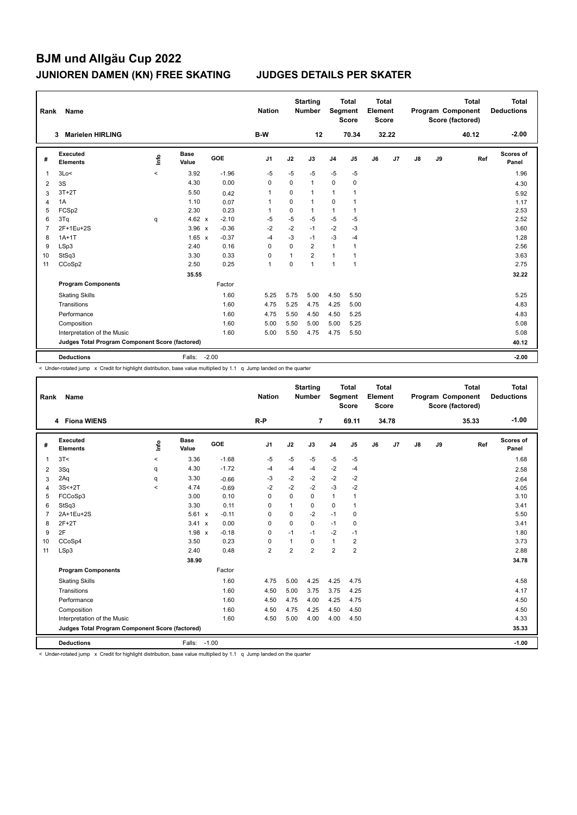| Rank | Name                                            |         |                      |            | <b>Nation</b>  |              | <b>Starting</b><br><b>Number</b> | Segment        | <b>Total</b><br><b>Score</b> | <b>Total</b><br>Element<br><b>Score</b> |                |               |    | <b>Total</b><br>Program Component<br>Score (factored) | <b>Total</b><br><b>Deductions</b> |
|------|-------------------------------------------------|---------|----------------------|------------|----------------|--------------|----------------------------------|----------------|------------------------------|-----------------------------------------|----------------|---------------|----|-------------------------------------------------------|-----------------------------------|
|      | <b>Marielen HIRLING</b><br>3                    |         |                      |            | B-W            |              | 12                               |                | 70.34                        |                                         | 32.22          |               |    | 40.12                                                 | $-2.00$                           |
| #    | <b>Executed</b><br><b>Elements</b>              | ۴٥      | <b>Base</b><br>Value | <b>GOE</b> | J <sub>1</sub> | J2           | J3                               | J <sub>4</sub> | J <sub>5</sub>               | J6                                      | J <sub>7</sub> | $\mathsf{J}8$ | J9 | Ref                                                   | Scores of<br>Panel                |
| 1    | 3Lo<                                            | $\prec$ | 3.92                 | $-1.96$    | $-5$           | $-5$         | $-5$                             | $-5$           | $-5$                         |                                         |                |               |    |                                                       | 1.96                              |
| 2    | 3S                                              |         | 4.30                 | 0.00       | 0              | $\mathbf 0$  | $\mathbf{1}$                     | $\mathbf 0$    | 0                            |                                         |                |               |    |                                                       | 4.30                              |
| 3    | $3T+2T$                                         |         | 5.50                 | 0.42       | $\overline{1}$ | 0            | $\mathbf{1}$                     | $\mathbf{1}$   | 1                            |                                         |                |               |    |                                                       | 5.92                              |
| 4    | 1A                                              |         | 1.10                 | 0.07       | 1              | 0            | $\mathbf{1}$                     | 0              | 1                            |                                         |                |               |    |                                                       | 1.17                              |
| 5    | FCSp2                                           |         | 2.30                 | 0.23       | 1              | 0            | 1                                | $\mathbf{1}$   | 1                            |                                         |                |               |    |                                                       | 2.53                              |
| 6    | 3Tq                                             | q       | 4.62 $\times$        | $-2.10$    | $-5$           | $-5$         | $-5$                             | $-5$           | $-5$                         |                                         |                |               |    |                                                       | 2.52                              |
| 7    | 2F+1Eu+2S                                       |         | $3.96 \times$        | $-0.36$    | $-2$           | $-2$         | $-1$                             | $-2$           | $-3$                         |                                         |                |               |    |                                                       | 3.60                              |
| 8    | $1A+1T$                                         |         | $1.65 \times$        | $-0.37$    | $-4$           | $-3$         | $-1$                             | $-3$           | $-4$                         |                                         |                |               |    |                                                       | 1.28                              |
| 9    | LSp3                                            |         | 2.40                 | 0.16       | $\Omega$       | $\Omega$     | $\overline{2}$                   | $\mathbf{1}$   | $\mathbf{1}$                 |                                         |                |               |    |                                                       | 2.56                              |
| 10   | StSq3                                           |         | 3.30                 | 0.33       | 0              | $\mathbf{1}$ | $\overline{2}$                   | $\mathbf{1}$   | 1                            |                                         |                |               |    |                                                       | 3.63                              |
| 11   | CCoSp2                                          |         | 2.50                 | 0.25       | $\overline{1}$ | 0            | $\mathbf{1}$                     | $\mathbf{1}$   | $\mathbf{1}$                 |                                         |                |               |    |                                                       | 2.75                              |
|      |                                                 |         | 35.55                |            |                |              |                                  |                |                              |                                         |                |               |    |                                                       | 32.22                             |
|      | <b>Program Components</b>                       |         |                      | Factor     |                |              |                                  |                |                              |                                         |                |               |    |                                                       |                                   |
|      | <b>Skating Skills</b>                           |         |                      | 1.60       | 5.25           | 5.75         | 5.00                             | 4.50           | 5.50                         |                                         |                |               |    |                                                       | 5.25                              |
|      | Transitions                                     |         |                      | 1.60       | 4.75           | 5.25         | 4.75                             | 4.25           | 5.00                         |                                         |                |               |    |                                                       | 4.83                              |
|      | Performance                                     |         |                      | 1.60       | 4.75           | 5.50         | 4.50                             | 4.50           | 5.25                         |                                         |                |               |    |                                                       | 4.83                              |
|      | Composition                                     |         |                      | 1.60       | 5.00           | 5.50         | 5.00                             | 5.00           | 5.25                         |                                         |                |               |    |                                                       | 5.08                              |
|      | Interpretation of the Music                     |         |                      | 1.60       | 5.00           | 5.50         | 4.75                             | 4.75           | 5.50                         |                                         |                |               |    |                                                       | 5.08                              |
|      | Judges Total Program Component Score (factored) |         |                      |            |                |              |                                  |                |                              |                                         |                |               |    |                                                       | 40.12                             |
|      | <b>Deductions</b>                               |         | Falls:               | $-2.00$    |                |              |                                  |                |                              |                                         |                |               |    |                                                       | $-2.00$                           |

< Under-rotated jump x Credit for highlight distribution, base value multiplied by 1.1 q Jump landed on the quarter

| Rank           | <b>Name</b>                                     |         |                      |            | <b>Nation</b>  |                | <b>Starting</b><br><b>Number</b> | Segment        | <b>Total</b><br><b>Score</b> | <b>Total</b><br>Element<br><b>Score</b> |                |               |    | <b>Total</b><br>Program Component<br>Score (factored) | Total<br><b>Deductions</b> |
|----------------|-------------------------------------------------|---------|----------------------|------------|----------------|----------------|----------------------------------|----------------|------------------------------|-----------------------------------------|----------------|---------------|----|-------------------------------------------------------|----------------------------|
|                | 4 Fiona WIENS                                   |         |                      |            | $R-P$          |                | $\overline{7}$                   |                | 69.11                        |                                         | 34.78          |               |    | 35.33                                                 | $-1.00$                    |
| #              | Executed<br><b>Elements</b>                     | ١nfo    | <b>Base</b><br>Value | <b>GOE</b> | J <sub>1</sub> | J2             | J3                               | J <sub>4</sub> | J5                           | J6                                      | J <sub>7</sub> | $\mathsf{J}8$ | J9 | Ref                                                   | Scores of<br>Panel         |
| $\overline{1}$ | 3T<                                             | $\prec$ | 3.36                 | $-1.68$    | $-5$           | $-5$           | $-5$                             | $-5$           | -5                           |                                         |                |               |    |                                                       | 1.68                       |
| 2              | 3Sq                                             | q       | 4.30                 | $-1.72$    | $-4$           | $-4$           | $-4$                             | $-2$           | $-4$                         |                                         |                |               |    |                                                       | 2.58                       |
| 3              | 2Aq                                             | q       | 3.30                 | $-0.66$    | $-3$           | $-2$           | $-2$                             | $-2$           | $-2$                         |                                         |                |               |    |                                                       | 2.64                       |
| 4              | $3S<+2T$                                        | $\,<$   | 4.74                 | $-0.69$    | -2             | $-2$           | $-2$                             | $-3$           | $-2$                         |                                         |                |               |    |                                                       | 4.05                       |
| 5              | FCCoSp3                                         |         | 3.00                 | 0.10       | $\Omega$       | $\Omega$       | 0                                | $\mathbf{1}$   | $\mathbf{1}$                 |                                         |                |               |    |                                                       | 3.10                       |
| 6              | StSq3                                           |         | 3.30                 | 0.11       | $\Omega$       | 1              | $\Omega$                         | $\mathbf 0$    | $\mathbf{1}$                 |                                         |                |               |    |                                                       | 3.41                       |
| $\overline{7}$ | 2A+1Eu+2S                                       |         | $5.61 \times$        | $-0.11$    | $\mathbf 0$    | 0              | $-2$                             | $-1$           | 0                            |                                         |                |               |    |                                                       | 5.50                       |
| 8              | $2F+2T$                                         |         | 3.41<br>$\mathsf{x}$ | 0.00       | $\mathbf 0$    | 0              | 0                                | $-1$           | $\mathbf 0$                  |                                         |                |               |    |                                                       | 3.41                       |
| 9              | 2F                                              |         | $1.98 \times$        | $-0.18$    | $\mathbf 0$    | $-1$           | $-1$                             | $-2$           | $-1$                         |                                         |                |               |    |                                                       | 1.80                       |
| 10             | CCoSp4                                          |         | 3.50                 | 0.23       | $\mathbf 0$    | 1              | $\Omega$                         | $\mathbf{1}$   | $\overline{2}$               |                                         |                |               |    |                                                       | 3.73                       |
| 11             | LSp3                                            |         | 2.40                 | 0.48       | $\overline{2}$ | $\overline{2}$ | $\overline{2}$                   | $\overline{2}$ | $\overline{2}$               |                                         |                |               |    |                                                       | 2.88                       |
|                |                                                 |         | 38.90                |            |                |                |                                  |                |                              |                                         |                |               |    |                                                       | 34.78                      |
|                | <b>Program Components</b>                       |         |                      | Factor     |                |                |                                  |                |                              |                                         |                |               |    |                                                       |                            |
|                | <b>Skating Skills</b>                           |         |                      | 1.60       | 4.75           | 5.00           | 4.25                             | 4.25           | 4.75                         |                                         |                |               |    |                                                       | 4.58                       |
|                | Transitions                                     |         |                      | 1.60       | 4.50           | 5.00           | 3.75                             | 3.75           | 4.25                         |                                         |                |               |    |                                                       | 4.17                       |
|                | Performance                                     |         |                      | 1.60       | 4.50           | 4.75           | 4.00                             | 4.25           | 4.75                         |                                         |                |               |    |                                                       | 4.50                       |
|                | Composition                                     |         |                      | 1.60       | 4.50           | 4.75           | 4.25                             | 4.50           | 4.50                         |                                         |                |               |    |                                                       | 4.50                       |
|                | Interpretation of the Music                     |         |                      | 1.60       | 4.50           | 5.00           | 4.00                             | 4.00           | 4.50                         |                                         |                |               |    |                                                       | 4.33                       |
|                | Judges Total Program Component Score (factored) |         |                      |            |                |                |                                  |                |                              |                                         |                |               |    |                                                       | 35.33                      |
|                | <b>Deductions</b>                               |         | Falls: -1.00         |            |                |                |                                  |                |                              |                                         |                |               |    |                                                       | $-1.00$                    |

< Under-rotated jump x Credit for highlight distribution, base value multiplied by 1.1 q Jump landed on the quarter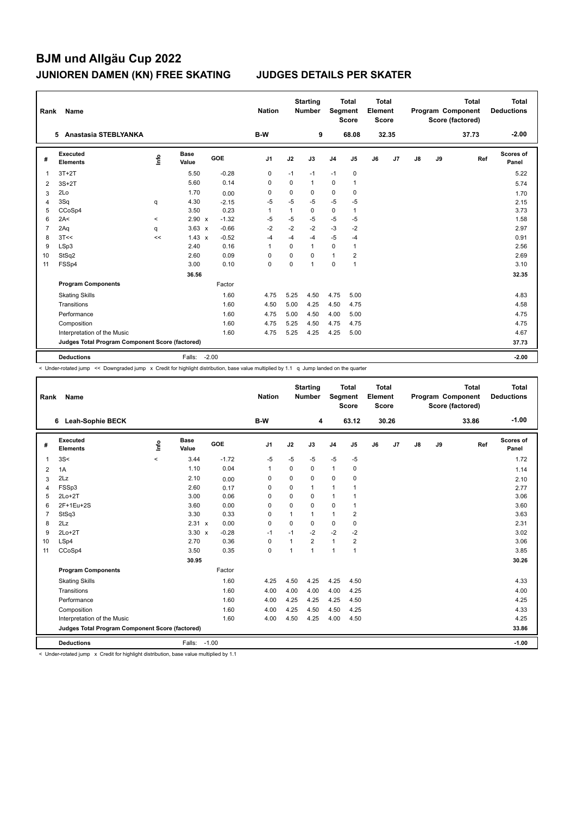| Rank | Name                                            |         |                      |            | <b>Nation</b>  |             | <b>Starting</b><br><b>Number</b> |                | <b>Total</b><br>Segment<br><b>Score</b> | <b>Total</b><br>Element<br><b>Score</b> |       |    |    | Total<br>Program Component<br>Score (factored) | <b>Total</b><br><b>Deductions</b> |
|------|-------------------------------------------------|---------|----------------------|------------|----------------|-------------|----------------------------------|----------------|-----------------------------------------|-----------------------------------------|-------|----|----|------------------------------------------------|-----------------------------------|
|      | 5 Anastasia STEBLYANKA                          |         |                      |            | B-W            |             | 9                                |                | 68.08                                   |                                         | 32.35 |    |    | 37.73                                          | $-2.00$                           |
| #    | Executed<br><b>Elements</b>                     | ۴       | <b>Base</b><br>Value | <b>GOE</b> | J <sub>1</sub> | J2          | J3                               | J <sub>4</sub> | J5                                      | J6                                      | J7    | J8 | J9 | Ref                                            | Scores of<br>Panel                |
| 1    | $3T+2T$                                         |         | 5.50                 | $-0.28$    | 0              | $-1$        | $-1$                             | $-1$           | 0                                       |                                         |       |    |    |                                                | 5.22                              |
| 2    | $3S+2T$                                         |         | 5.60                 | 0.14       | $\Omega$       | 0           | $\mathbf{1}$                     | 0              | $\overline{1}$                          |                                         |       |    |    |                                                | 5.74                              |
| 3    | 2Lo                                             |         | 1.70                 | 0.00       | 0              | 0           | 0                                | 0              | 0                                       |                                         |       |    |    |                                                | 1.70                              |
| 4    | 3Sq                                             | q       | 4.30                 | $-2.15$    | $-5$           | -5          | $-5$                             | $-5$           | -5                                      |                                         |       |    |    |                                                | 2.15                              |
| 5    | CCoSp4                                          |         | 3.50                 | 0.23       | $\mathbf{1}$   | 1           | $\Omega$                         | 0              | 1                                       |                                         |       |    |    |                                                | 3.73                              |
| 6    | 2A<                                             | $\prec$ | $2.90 \times$        | $-1.32$    | $-5$           | -5          | $-5$                             | $-5$           | -5                                      |                                         |       |    |    |                                                | 1.58                              |
| 7    | 2Aq                                             | q       | $3.63 \times$        | $-0.66$    | $-2$           | $-2$        | $-2$                             | $-3$           | $-2$                                    |                                         |       |    |    |                                                | 2.97                              |
| 8    | 3T<<                                            | <<      | $1.43 \times$        | $-0.52$    | $-4$           | $-4$        | -4                               | $-5$           | $-4$                                    |                                         |       |    |    |                                                | 0.91                              |
| 9    | LSp3                                            |         | 2.40                 | 0.16       | $\overline{1}$ | $\mathbf 0$ | $\mathbf{1}$                     | $\mathbf 0$    | $\mathbf{1}$                            |                                         |       |    |    |                                                | 2.56                              |
| 10   | StSq2                                           |         | 2.60                 | 0.09       | 0              | $\mathbf 0$ | $\Omega$                         | 1              | $\overline{2}$                          |                                         |       |    |    |                                                | 2.69                              |
| 11   | FSSp4                                           |         | 3.00                 | 0.10       | 0              | $\mathbf 0$ | 1                                | 0              | $\mathbf{1}$                            |                                         |       |    |    |                                                | 3.10                              |
|      |                                                 |         | 36.56                |            |                |             |                                  |                |                                         |                                         |       |    |    |                                                | 32.35                             |
|      | <b>Program Components</b>                       |         |                      | Factor     |                |             |                                  |                |                                         |                                         |       |    |    |                                                |                                   |
|      | <b>Skating Skills</b>                           |         |                      | 1.60       | 4.75           | 5.25        | 4.50                             | 4.75           | 5.00                                    |                                         |       |    |    |                                                | 4.83                              |
|      | Transitions                                     |         |                      | 1.60       | 4.50           | 5.00        | 4.25                             | 4.50           | 4.75                                    |                                         |       |    |    |                                                | 4.58                              |
|      | Performance                                     |         |                      | 1.60       | 4.75           | 5.00        | 4.50                             | 4.00           | 5.00                                    |                                         |       |    |    |                                                | 4.75                              |
|      | Composition                                     |         |                      | 1.60       | 4.75           | 5.25        | 4.50                             | 4.75           | 4.75                                    |                                         |       |    |    |                                                | 4.75                              |
|      | Interpretation of the Music                     |         |                      | 1.60       | 4.75           | 5.25        | 4.25                             | 4.25           | 5.00                                    |                                         |       |    |    |                                                | 4.67                              |
|      | Judges Total Program Component Score (factored) |         |                      |            |                |             |                                  |                |                                         |                                         |       |    |    |                                                | 37.73                             |
|      | <b>Deductions</b>                               |         | Falls:               | $-2.00$    |                |             |                                  |                |                                         |                                         |       |    |    |                                                | $-2.00$                           |

< Under-rotated jump << Downgraded jump x Credit for highlight distribution, base value multiplied by 1.1 q Jump landed on the quarter

| Rank           | Name                                            |                          |                      |         | <b>Nation</b>  |              | <b>Starting</b><br><b>Number</b> | Segment        | <b>Total</b><br><b>Score</b> | <b>Total</b><br>Element<br><b>Score</b> |       |    |    | <b>Total</b><br>Program Component<br>Score (factored) | Total<br><b>Deductions</b> |
|----------------|-------------------------------------------------|--------------------------|----------------------|---------|----------------|--------------|----------------------------------|----------------|------------------------------|-----------------------------------------|-------|----|----|-------------------------------------------------------|----------------------------|
|                | 6 Leah-Sophie BECK                              |                          |                      |         | B-W            |              | 4                                |                | 63.12                        |                                         | 30.26 |    |    | 33.86                                                 | $-1.00$                    |
| #              | Executed<br><b>Elements</b>                     | ١nf٥                     | <b>Base</b><br>Value | GOE     | J <sub>1</sub> | J2           | J3                               | J <sub>4</sub> | J5                           | J6                                      | J7    | J8 | J9 | Ref                                                   | Scores of<br>Panel         |
| $\overline{1}$ | 3S<                                             | $\overline{\phantom{a}}$ | 3.44                 | $-1.72$ | $-5$           | -5           | $-5$                             | $-5$           | $-5$                         |                                         |       |    |    |                                                       | 1.72                       |
| 2              | 1A                                              |                          | 1.10                 | 0.04    | $\mathbf{1}$   | $\Omega$     | $\Omega$                         | $\mathbf{1}$   | $\mathbf 0$                  |                                         |       |    |    |                                                       | 1.14                       |
| 3              | 2Lz                                             |                          | 2.10                 | 0.00    | $\mathbf 0$    | 0            | 0                                | $\mathbf 0$    | $\mathbf 0$                  |                                         |       |    |    |                                                       | 2.10                       |
| 4              | FSSp3                                           |                          | 2.60                 | 0.17    | 0              | $\mathbf 0$  | 1                                | $\mathbf{1}$   | $\mathbf{1}$                 |                                         |       |    |    |                                                       | 2.77                       |
| 5              | $2Lo+2T$                                        |                          | 3.00                 | 0.06    | $\mathbf 0$    | 0            | 0                                | $\mathbf{1}$   | $\mathbf{1}$                 |                                         |       |    |    |                                                       | 3.06                       |
| 6              | 2F+1Eu+2S                                       |                          | 3.60                 | 0.00    | $\Omega$       | $\Omega$     | $\Omega$                         | $\Omega$       | $\mathbf{1}$                 |                                         |       |    |    |                                                       | 3.60                       |
| $\overline{7}$ | StSq3                                           |                          | 3.30                 | 0.33    | 0              | $\mathbf{1}$ | 1                                | $\mathbf{1}$   | $\overline{2}$               |                                         |       |    |    |                                                       | 3.63                       |
| 8              | 2Lz                                             |                          | 2.31 x               | 0.00    | $\Omega$       | $\Omega$     | $\Omega$                         | $\mathbf 0$    | $\mathbf 0$                  |                                         |       |    |    |                                                       | 2.31                       |
| 9              | $2Lo+2T$                                        |                          | $3.30 \times$        | $-0.28$ | $-1$           | $-1$         | $-2$                             | $-2$           | $-2$                         |                                         |       |    |    |                                                       | 3.02                       |
| 10             | LSp4                                            |                          | 2.70                 | 0.36    | 0              | 1            | $\overline{2}$                   | $\mathbf{1}$   | $\overline{2}$               |                                         |       |    |    |                                                       | 3.06                       |
| 11             | CCoSp4                                          |                          | 3.50                 | 0.35    | $\mathbf 0$    | $\mathbf{1}$ | $\mathbf{1}$                     | $\mathbf{1}$   | $\mathbf{1}$                 |                                         |       |    |    |                                                       | 3.85                       |
|                |                                                 |                          | 30.95                |         |                |              |                                  |                |                              |                                         |       |    |    |                                                       | 30.26                      |
|                | <b>Program Components</b>                       |                          |                      | Factor  |                |              |                                  |                |                              |                                         |       |    |    |                                                       |                            |
|                | <b>Skating Skills</b>                           |                          |                      | 1.60    | 4.25           | 4.50         | 4.25                             | 4.25           | 4.50                         |                                         |       |    |    |                                                       | 4.33                       |
|                | Transitions                                     |                          |                      | 1.60    | 4.00           | 4.00         | 4.00                             | 4.00           | 4.25                         |                                         |       |    |    |                                                       | 4.00                       |
|                | Performance                                     |                          |                      | 1.60    | 4.00           | 4.25         | 4.25                             | 4.25           | 4.50                         |                                         |       |    |    |                                                       | 4.25                       |
|                | Composition                                     |                          |                      | 1.60    | 4.00           | 4.25         | 4.50                             | 4.50           | 4.25                         |                                         |       |    |    |                                                       | 4.33                       |
|                | Interpretation of the Music                     |                          |                      | 1.60    | 4.00           | 4.50         | 4.25                             | 4.00           | 4.50                         |                                         |       |    |    |                                                       | 4.25                       |
|                | Judges Total Program Component Score (factored) |                          |                      |         |                |              |                                  |                |                              |                                         |       |    |    |                                                       | 33.86                      |
|                | <b>Deductions</b>                               |                          | Falls:               | $-1.00$ |                |              |                                  |                |                              |                                         |       |    |    |                                                       | $-1.00$                    |

< Under-rotated jump x Credit for highlight distribution, base value multiplied by 1.1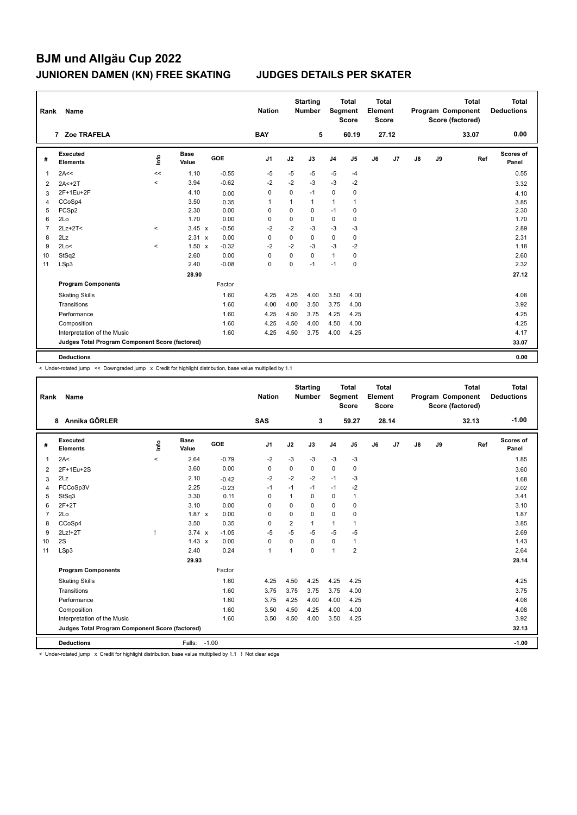| Rank           | Name                                            |         |                      |         | <b>Nation</b>  |             | <b>Starting</b><br><b>Number</b> | Segment        | <b>Total</b><br><b>Score</b> | <b>Total</b><br>Element<br><b>Score</b> |                |    |    | <b>Total</b><br>Program Component<br>Score (factored) | Total<br><b>Deductions</b> |
|----------------|-------------------------------------------------|---------|----------------------|---------|----------------|-------------|----------------------------------|----------------|------------------------------|-----------------------------------------|----------------|----|----|-------------------------------------------------------|----------------------------|
|                | 7 Zoe TRAFELA                                   |         |                      |         | <b>BAY</b>     |             | 5                                |                | 60.19                        |                                         | 27.12          |    |    | 33.07                                                 | 0.00                       |
| #              | Executed<br><b>Elements</b>                     | ۴       | <b>Base</b><br>Value | GOE     | J <sub>1</sub> | J2          | J3                               | J <sub>4</sub> | J5                           | J6                                      | J <sub>7</sub> | J8 | J9 | Ref                                                   | Scores of<br>Panel         |
| 1              | 2A<<                                            | <<      | 1.10                 | $-0.55$ | $-5$           | $-5$        | $-5$                             | $-5$           | -4                           |                                         |                |    |    |                                                       | 0.55                       |
| $\overline{2}$ | $2A < +2T$                                      | $\,<$   | 3.94                 | $-0.62$ | $-2$           | $-2$        | $-3$                             | $-3$           | $-2$                         |                                         |                |    |    |                                                       | 3.32                       |
| 3              | 2F+1Eu+2F                                       |         | 4.10                 | 0.00    | 0              | $\mathbf 0$ | $-1$                             | $\mathbf 0$    | 0                            |                                         |                |    |    |                                                       | 4.10                       |
| 4              | CCoSp4                                          |         | 3.50                 | 0.35    | $\overline{1}$ | 1           | 1                                | $\mathbf{1}$   | 1                            |                                         |                |    |    |                                                       | 3.85                       |
| 5              | FCSp2                                           |         | 2.30                 | 0.00    | 0              | 0           | 0                                | $-1$           | 0                            |                                         |                |    |    |                                                       | 2.30                       |
| 6              | 2Lo                                             |         | 1.70                 | 0.00    | 0              | 0           | $\Omega$                         | $\mathbf 0$    | 0                            |                                         |                |    |    |                                                       | 1.70                       |
| $\overline{7}$ | $2Lz+2T<$                                       | $\prec$ | $3.45 \times$        | $-0.56$ | $-2$           | $-2$        | $-3$                             | $-3$           | $-3$                         |                                         |                |    |    |                                                       | 2.89                       |
| 8              | 2Lz                                             |         | 2.31 x               | 0.00    | $\mathbf 0$    | $\mathbf 0$ | 0                                | $\mathbf 0$    | 0                            |                                         |                |    |    |                                                       | 2.31                       |
| 9              | 2Lo<                                            | $\prec$ | $1.50 \times$        | $-0.32$ | $-2$           | $-2$        | $-3$                             | $-3$           | $-2$                         |                                         |                |    |    |                                                       | 1.18                       |
| 10             | StSq2                                           |         | 2.60                 | 0.00    | $\Omega$       | $\Omega$    | $\Omega$                         | $\mathbf{1}$   | $\Omega$                     |                                         |                |    |    |                                                       | 2.60                       |
| 11             | LSp3                                            |         | 2.40                 | $-0.08$ | 0              | 0           | $-1$                             | $-1$           | $\mathbf 0$                  |                                         |                |    |    |                                                       | 2.32                       |
|                |                                                 |         | 28.90                |         |                |             |                                  |                |                              |                                         |                |    |    |                                                       | 27.12                      |
|                | <b>Program Components</b>                       |         |                      | Factor  |                |             |                                  |                |                              |                                         |                |    |    |                                                       |                            |
|                | <b>Skating Skills</b>                           |         |                      | 1.60    | 4.25           | 4.25        | 4.00                             | 3.50           | 4.00                         |                                         |                |    |    |                                                       | 4.08                       |
|                | Transitions                                     |         |                      | 1.60    | 4.00           | 4.00        | 3.50                             | 3.75           | 4.00                         |                                         |                |    |    |                                                       | 3.92                       |
|                | Performance                                     |         |                      | 1.60    | 4.25           | 4.50        | 3.75                             | 4.25           | 4.25                         |                                         |                |    |    |                                                       | 4.25                       |
|                | Composition                                     |         |                      | 1.60    | 4.25           | 4.50        | 4.00                             | 4.50           | 4.00                         |                                         |                |    |    |                                                       | 4.25                       |
|                | Interpretation of the Music                     |         |                      | 1.60    | 4.25           | 4.50        | 3.75                             | 4.00           | 4.25                         |                                         |                |    |    |                                                       | 4.17                       |
|                | Judges Total Program Component Score (factored) |         |                      |         |                |             |                                  |                |                              |                                         |                |    |    |                                                       | 33.07                      |
|                | <b>Deductions</b>                               |         |                      |         |                |             |                                  |                |                              |                                         |                |    |    |                                                       | 0.00                       |

< Under-rotated jump << Downgraded jump x Credit for highlight distribution, base value multiplied by 1.1

| Rank           | Name                                            |                          |                      |         | <b>Nation</b>  |              | <b>Starting</b><br><b>Number</b> | Segment        | <b>Total</b><br><b>Score</b> | <b>Total</b><br>Element<br>Score |       |    |    | <b>Total</b><br>Program Component<br>Score (factored) | Total<br><b>Deductions</b> |
|----------------|-------------------------------------------------|--------------------------|----------------------|---------|----------------|--------------|----------------------------------|----------------|------------------------------|----------------------------------|-------|----|----|-------------------------------------------------------|----------------------------|
|                | Annika GÖRLER<br>8                              |                          |                      |         | <b>SAS</b>     |              | 3                                |                | 59.27                        |                                  | 28.14 |    |    | 32.13                                                 | $-1.00$                    |
| #              | Executed<br><b>Elements</b>                     | ١nf٥                     | <b>Base</b><br>Value | GOE     | J <sub>1</sub> | J2           | J3                               | J <sub>4</sub> | J5                           | J6                               | J7    | J8 | J9 | Ref                                                   | Scores of<br>Panel         |
| $\overline{1}$ | 2A<                                             | $\overline{\phantom{a}}$ | 2.64                 | $-0.79$ | $-2$           | $-3$         | $-3$                             | $-3$           | $-3$                         |                                  |       |    |    |                                                       | 1.85                       |
| 2              | 2F+1Eu+2S                                       |                          | 3.60                 | 0.00    | $\Omega$       | $\Omega$     | $\Omega$                         | $\Omega$       | $\mathbf 0$                  |                                  |       |    |    |                                                       | 3.60                       |
| 3              | 2Lz                                             |                          | 2.10                 | $-0.42$ | $-2$           | $-2$         | $-2$                             | $-1$           | $-3$                         |                                  |       |    |    |                                                       | 1.68                       |
| $\overline{4}$ | FCCoSp3V                                        |                          | 2.25                 | $-0.23$ | $-1$           | $-1$         | $-1$                             | $-1$           | $-2$                         |                                  |       |    |    |                                                       | 2.02                       |
| 5              | StSq3                                           |                          | 3.30                 | 0.11    | 0              | $\mathbf{1}$ | 0                                | $\mathbf 0$    | $\mathbf{1}$                 |                                  |       |    |    |                                                       | 3.41                       |
| 6              | $2F+2T$                                         |                          | 3.10                 | 0.00    | $\Omega$       | $\Omega$     | $\Omega$                         | $\Omega$       | $\Omega$                     |                                  |       |    |    |                                                       | 3.10                       |
| $\overline{7}$ | 2Lo                                             |                          | $1.87 \times$        | 0.00    | 0              | $\Omega$     | $\Omega$                         | $\mathbf 0$    | 0                            |                                  |       |    |    |                                                       | 1.87                       |
| 8              | CCoSp4                                          |                          | 3.50                 | 0.35    | $\Omega$       | 2            | 1                                | $\mathbf{1}$   | $\mathbf{1}$                 |                                  |       |    |    |                                                       | 3.85                       |
| 9              | $2Lz!+2T$                                       | f.                       | $3.74 \times$        | $-1.05$ | $-5$           | $-5$         | $-5$                             | $-5$           | $-5$                         |                                  |       |    |    |                                                       | 2.69                       |
| 10             | 2S                                              |                          | $1.43 \times$        | 0.00    | 0              | $\Omega$     | $\Omega$                         | $\mathbf 0$    | $\mathbf{1}$                 |                                  |       |    |    |                                                       | 1.43                       |
| 11             | LSp3                                            |                          | 2.40                 | 0.24    | $\mathbf{1}$   | $\mathbf{1}$ | 0                                | $\overline{1}$ | 2                            |                                  |       |    |    |                                                       | 2.64                       |
|                |                                                 |                          | 29.93                |         |                |              |                                  |                |                              |                                  |       |    |    |                                                       | 28.14                      |
|                | <b>Program Components</b>                       |                          |                      | Factor  |                |              |                                  |                |                              |                                  |       |    |    |                                                       |                            |
|                | <b>Skating Skills</b>                           |                          |                      | 1.60    | 4.25           | 4.50         | 4.25                             | 4.25           | 4.25                         |                                  |       |    |    |                                                       | 4.25                       |
|                | Transitions                                     |                          |                      | 1.60    | 3.75           | 3.75         | 3.75                             | 3.75           | 4.00                         |                                  |       |    |    |                                                       | 3.75                       |
|                | Performance                                     |                          |                      | 1.60    | 3.75           | 4.25         | 4.00                             | 4.00           | 4.25                         |                                  |       |    |    |                                                       | 4.08                       |
|                | Composition                                     |                          |                      | 1.60    | 3.50           | 4.50         | 4.25                             | 4.00           | 4.00                         |                                  |       |    |    |                                                       | 4.08                       |
|                | Interpretation of the Music                     |                          |                      | 1.60    | 3.50           | 4.50         | 4.00                             | 3.50           | 4.25                         |                                  |       |    |    |                                                       | 3.92                       |
|                | Judges Total Program Component Score (factored) |                          |                      |         |                |              |                                  |                |                              |                                  |       |    |    |                                                       | 32.13                      |
|                | <b>Deductions</b>                               |                          | Falls:               | $-1.00$ |                |              |                                  |                |                              |                                  |       |    |    |                                                       | $-1.00$                    |

< Under-rotated jump x Credit for highlight distribution, base value multiplied by 1.1 ! Not clear edge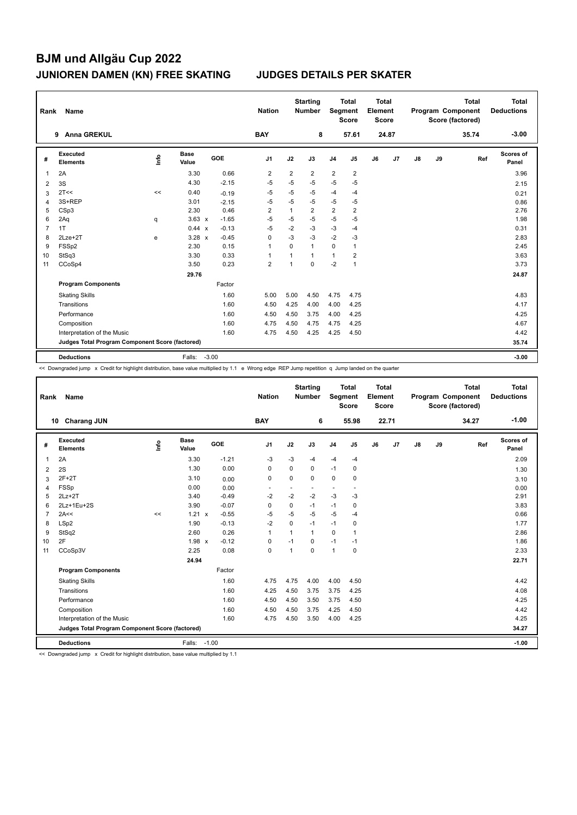| Rank | Name                                            |      |                      |            | <b>Nation</b>  |                | <b>Starting</b><br><b>Number</b> |                | <b>Total</b><br>Segment<br><b>Score</b> | <b>Total</b><br>Element<br><b>Score</b> |                |               |    | <b>Total</b><br>Program Component<br>Score (factored) | Total<br><b>Deductions</b> |
|------|-------------------------------------------------|------|----------------------|------------|----------------|----------------|----------------------------------|----------------|-----------------------------------------|-----------------------------------------|----------------|---------------|----|-------------------------------------------------------|----------------------------|
|      | 9 Anna GREKUL                                   |      |                      |            | <b>BAY</b>     |                | 8                                |                | 57.61                                   |                                         | 24.87          |               |    | 35.74                                                 | $-3.00$                    |
| #    | <b>Executed</b><br><b>Elements</b>              | ١nf٥ | <b>Base</b><br>Value | <b>GOE</b> | J1             | J2             | J3                               | J <sub>4</sub> | J <sub>5</sub>                          | J6                                      | J <sub>7</sub> | $\mathsf{J}8$ | J9 | Ref                                                   | Scores of<br>Panel         |
| 1    | 2A                                              |      | 3.30                 | 0.66       | $\overline{2}$ | $\overline{2}$ | $\overline{2}$                   | 2              | $\overline{2}$                          |                                         |                |               |    |                                                       | 3.96                       |
| 2    | 3S                                              |      | 4.30                 | $-2.15$    | $-5$           | $-5$           | $-5$                             | $-5$           | $-5$                                    |                                         |                |               |    |                                                       | 2.15                       |
| 3    | 2T<<                                            | <<   | 0.40                 | $-0.19$    | $-5$           | $-5$           | $-5$                             | $-4$           | $-4$                                    |                                         |                |               |    |                                                       | 0.21                       |
| 4    | 3S+REP                                          |      | 3.01                 | $-2.15$    | $-5$           | $-5$           | $-5$                             | $-5$           | $-5$                                    |                                         |                |               |    |                                                       | 0.86                       |
| 5    | CSp3                                            |      | 2.30                 | 0.46       | 2              | 1              | 2                                | $\overline{2}$ | $\overline{2}$                          |                                         |                |               |    |                                                       | 2.76                       |
| 6    | 2Aq                                             | q    | $3.63 \times$        | $-1.65$    | $-5$           | $-5$           | $-5$                             | $-5$           | $-5$                                    |                                         |                |               |    |                                                       | 1.98                       |
| 7    | 1T                                              |      | 0.44 x               | $-0.13$    | $-5$           | $-2$           | $-3$                             | $-3$           | $-4$                                    |                                         |                |               |    |                                                       | 0.31                       |
| 8    | $2Lze+2T$                                       | e    | $3.28 \times$        | $-0.45$    | 0              | $-3$           | $-3$                             | $-2$           | -3                                      |                                         |                |               |    |                                                       | 2.83                       |
| 9    | FSS <sub>p2</sub>                               |      | 2.30                 | 0.15       | $\overline{1}$ | $\Omega$       | $\mathbf{1}$                     | $\mathbf 0$    | $\mathbf{1}$                            |                                         |                |               |    |                                                       | 2.45                       |
| 10   | StSq3                                           |      | 3.30                 | 0.33       | -1             | $\mathbf 1$    | $\mathbf{1}$                     | $\mathbf{1}$   | 2                                       |                                         |                |               |    |                                                       | 3.63                       |
| 11   | CCoSp4                                          |      | 3.50                 | 0.23       | $\overline{2}$ | 1              | 0                                | $-2$           | $\mathbf{1}$                            |                                         |                |               |    |                                                       | 3.73                       |
|      |                                                 |      | 29.76                |            |                |                |                                  |                |                                         |                                         |                |               |    |                                                       | 24.87                      |
|      | <b>Program Components</b>                       |      |                      | Factor     |                |                |                                  |                |                                         |                                         |                |               |    |                                                       |                            |
|      | <b>Skating Skills</b>                           |      |                      | 1.60       | 5.00           | 5.00           | 4.50                             | 4.75           | 4.75                                    |                                         |                |               |    |                                                       | 4.83                       |
|      | Transitions                                     |      |                      | 1.60       | 4.50           | 4.25           | 4.00                             | 4.00           | 4.25                                    |                                         |                |               |    |                                                       | 4.17                       |
|      | Performance                                     |      |                      | 1.60       | 4.50           | 4.50           | 3.75                             | 4.00           | 4.25                                    |                                         |                |               |    |                                                       | 4.25                       |
|      | Composition                                     |      |                      | 1.60       | 4.75           | 4.50           | 4.75                             | 4.75           | 4.25                                    |                                         |                |               |    |                                                       | 4.67                       |
|      | Interpretation of the Music                     |      |                      | 1.60       | 4.75           | 4.50           | 4.25                             | 4.25           | 4.50                                    |                                         |                |               |    |                                                       | 4.42                       |
|      | Judges Total Program Component Score (factored) |      |                      |            |                |                |                                  |                |                                         |                                         |                |               |    |                                                       | 35.74                      |
|      | <b>Deductions</b>                               |      | Falls:               | $-3.00$    |                |                |                                  |                |                                         |                                         |                |               |    |                                                       | $-3.00$                    |

<< Downgraded jump x Credit for highlight distribution, base value multiplied by 1.1 e Wrong edge REP Jump repetition q Jump landed on the quarter

| Rank           | Name                                            |         |                      |            | <b>Nation</b>  |                      | <b>Starting</b><br><b>Number</b> | Segment        | <b>Total</b><br><b>Score</b> | <b>Total</b><br>Element<br><b>Score</b> |       |    |    | <b>Total</b><br>Program Component<br>Score (factored) | Total<br><b>Deductions</b> |
|----------------|-------------------------------------------------|---------|----------------------|------------|----------------|----------------------|----------------------------------|----------------|------------------------------|-----------------------------------------|-------|----|----|-------------------------------------------------------|----------------------------|
|                | 10 Charang JUN                                  |         |                      |            | <b>BAY</b>     |                      | 6                                |                | 55.98                        |                                         | 22.71 |    |    | 34.27                                                 | $-1.00$                    |
| #              | Executed<br><b>Elements</b>                     | ۴       | <b>Base</b><br>Value | <b>GOE</b> | J <sub>1</sub> | J2                   | J3                               | J <sub>4</sub> | J5                           | J6                                      | J7    | J8 | J9 | Ref                                                   | Scores of<br>Panel         |
| 1              | 2A                                              |         | 3.30                 | $-1.21$    | $-3$           | $-3$                 | $-4$                             | $-4$           | $-4$                         |                                         |       |    |    |                                                       | 2.09                       |
| 2              | 2S                                              |         | 1.30                 | 0.00       | 0              | $\Omega$             | $\mathbf 0$                      | $-1$           | $\mathbf 0$                  |                                         |       |    |    |                                                       | 1.30                       |
| 3              | $2F+2T$                                         |         | 3.10                 | 0.00       | $\mathbf 0$    | $\mathbf 0$          | $\Omega$                         | $\mathbf 0$    | $\mathbf 0$                  |                                         |       |    |    |                                                       | 3.10                       |
| 4              | <b>FSSp</b>                                     |         | 0.00                 | 0.00       | $\blacksquare$ | $\ddot{\phantom{1}}$ | $\overline{\phantom{a}}$         | $\sim$         | $\blacksquare$               |                                         |       |    |    |                                                       | 0.00                       |
| 5              | $2Lz+2T$                                        |         | 3.40                 | $-0.49$    | $-2$           | $-2$                 | $-2$                             | $-3$           | $-3$                         |                                         |       |    |    |                                                       | 2.91                       |
| 6              | 2Lz+1Eu+2S                                      |         | 3.90                 | $-0.07$    | $\Omega$       | $\mathbf 0$          | $-1$                             | $-1$           | 0                            |                                         |       |    |    |                                                       | 3.83                       |
| $\overline{7}$ | 2A<<                                            | $\prec$ | $1.21 \times$        | $-0.55$    | $-5$           | $-5$                 | $-5$                             | $-5$           | $-4$                         |                                         |       |    |    |                                                       | 0.66                       |
| 8              | LSp2                                            |         | 1.90                 | $-0.13$    | $-2$           | $\Omega$             | $-1$                             | $-1$           | 0                            |                                         |       |    |    |                                                       | 1.77                       |
| 9              | StSq2                                           |         | 2.60                 | 0.26       | $\mathbf{1}$   | 1                    | $\mathbf{1}$                     | $\Omega$       | $\mathbf{1}$                 |                                         |       |    |    |                                                       | 2.86                       |
| 10             | 2F                                              |         | $1.98 \times$        | $-0.12$    | 0              | $-1$                 | $\Omega$                         | $-1$           | $-1$                         |                                         |       |    |    |                                                       | 1.86                       |
| 11             | CCoSp3V                                         |         | 2.25                 | 0.08       | $\mathbf 0$    | 1                    | $\Omega$                         | $\mathbf{1}$   | $\mathbf 0$                  |                                         |       |    |    |                                                       | 2.33                       |
|                |                                                 |         | 24.94                |            |                |                      |                                  |                |                              |                                         |       |    |    |                                                       | 22.71                      |
|                | <b>Program Components</b>                       |         |                      | Factor     |                |                      |                                  |                |                              |                                         |       |    |    |                                                       |                            |
|                | <b>Skating Skills</b>                           |         |                      | 1.60       | 4.75           | 4.75                 | 4.00                             | 4.00           | 4.50                         |                                         |       |    |    |                                                       | 4.42                       |
|                | Transitions                                     |         |                      | 1.60       | 4.25           | 4.50                 | 3.75                             | 3.75           | 4.25                         |                                         |       |    |    |                                                       | 4.08                       |
|                | Performance                                     |         |                      | 1.60       | 4.50           | 4.50                 | 3.50                             | 3.75           | 4.50                         |                                         |       |    |    |                                                       | 4.25                       |
|                | Composition                                     |         |                      | 1.60       | 4.50           | 4.50                 | 3.75                             | 4.25           | 4.50                         |                                         |       |    |    |                                                       | 4.42                       |
|                | Interpretation of the Music                     |         |                      | 1.60       | 4.75           | 4.50                 | 3.50                             | 4.00           | 4.25                         |                                         |       |    |    |                                                       | 4.25                       |
|                | Judges Total Program Component Score (factored) |         |                      |            |                |                      |                                  |                |                              |                                         |       |    |    |                                                       | 34.27                      |
|                | <b>Deductions</b>                               |         | Falls: -1.00         |            |                |                      |                                  |                |                              |                                         |       |    |    |                                                       | $-1.00$                    |

<< Downgraded jump x Credit for highlight distribution, base value multiplied by 1.1